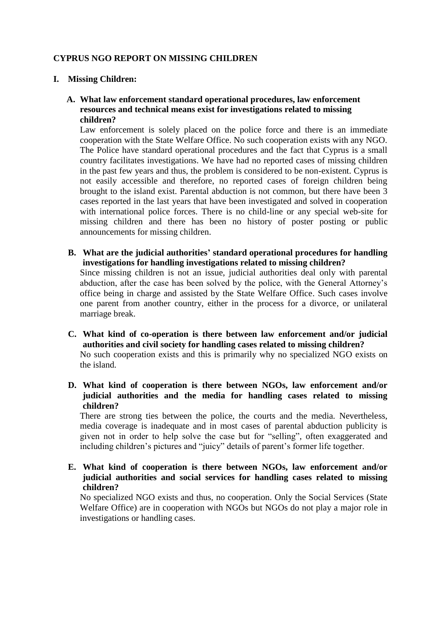## **CYPRUS NGO REPORT ON MISSING CHILDREN**

- **I. Missing Children:**
	- **A. What law enforcement standard operational procedures, law enforcement resources and technical means exist for investigations related to missing children?**

Law enforcement is solely placed on the police force and there is an immediate cooperation with the State Welfare Office. No such cooperation exists with any NGO. The Police have standard operational procedures and the fact that Cyprus is a small country facilitates investigations. We have had no reported cases of missing children in the past few years and thus, the problem is considered to be non-existent. Cyprus is not easily accessible and therefore, no reported cases of foreign children being brought to the island exist. Parental abduction is not common, but there have been 3 cases reported in the last years that have been investigated and solved in cooperation with international police forces. There is no child-line or any special web-site for missing children and there has been no history of poster posting or public announcements for missing children.

- **B. What are the judicial authorities' standard operational procedures for handling investigations for handling investigations related to missing children?** Since missing children is not an issue, judicial authorities deal only with parental abduction, after the case has been solved by the police, with the General Attorney's office being in charge and assisted by the State Welfare Office. Such cases involve one parent from another country, either in the process for a divorce, or unilateral marriage break.
- **C. What kind of co-operation is there between law enforcement and/or judicial authorities and civil society for handling cases related to missing children?** No such cooperation exists and this is primarily why no specialized NGO exists on the island.
- **D. What kind of cooperation is there between NGOs, law enforcement and/or judicial authorities and the media for handling cases related to missing children?**

There are strong ties between the police, the courts and the media. Nevertheless, media coverage is inadequate and in most cases of parental abduction publicity is given not in order to help solve the case but for "selling", often exaggerated and including children's pictures and "juicy" details of parent's former life together.

**E. What kind of cooperation is there between NGOs, law enforcement and/or judicial authorities and social services for handling cases related to missing children?** 

No specialized NGO exists and thus, no cooperation. Only the Social Services (State Welfare Office) are in cooperation with NGOs but NGOs do not play a major role in investigations or handling cases.